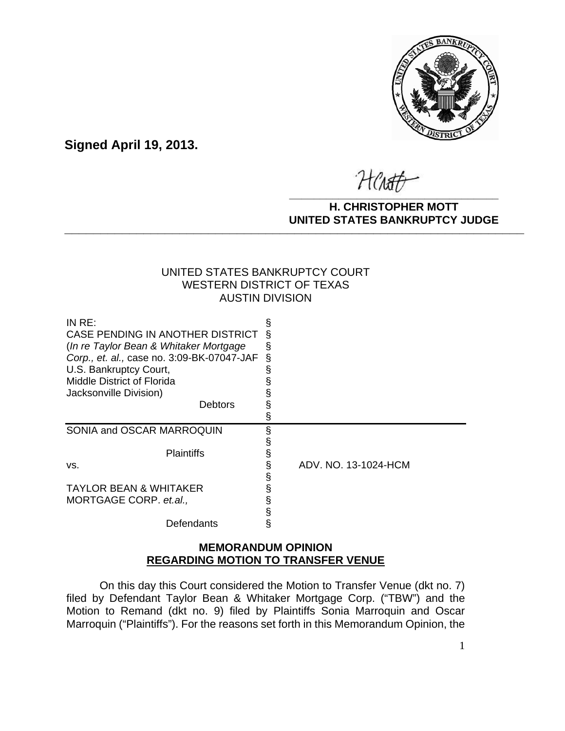

**Signed April 19, 2013.**

Hensth **\_\_\_\_\_\_\_\_\_\_\_\_\_\_\_\_\_\_\_\_\_\_\_\_\_\_\_\_\_\_\_\_\_\_**

#### **H. CHRISTOPHER MOTT UNITED STATES BANKRUPTCY JUDGE PATTED DRIVING TOT 00DCL**

### UNITED STATES BANKRUPTCY COURT WESTERN DISTRICT OF TEXAS AUSTIN DIVISION

| IN $RE:$                                   | Š |                      |
|--------------------------------------------|---|----------------------|
| CASE PENDING IN ANOTHER DISTRICT           |   |                      |
| (In re Taylor Bean & Whitaker Mortgage)    |   |                      |
| Corp., et. al., case no. 3:09-BK-07047-JAF | § |                      |
| U.S. Bankruptcy Court,                     |   |                      |
| Middle District of Florida                 |   |                      |
| Jacksonville Division)                     |   |                      |
| Debtors                                    |   |                      |
|                                            |   |                      |
| SONIA and OSCAR MARROQUIN                  |   |                      |
|                                            |   |                      |
| <b>Plaintiffs</b>                          |   |                      |
| VS.                                        |   | ADV. NO. 13-1024-HCM |
|                                            |   |                      |
| <b>TAYLOR BEAN &amp; WHITAKER</b>          |   |                      |
| MORTGAGE CORP. et.al.,                     |   |                      |
|                                            |   |                      |
| Defendants                                 |   |                      |

## **MEMORANDUM OPINION REGARDING MOTION TO TRANSFER VENUE**

On this day this Court considered the Motion to Transfer Venue (dkt no. 7) filed by Defendant Taylor Bean & Whitaker Mortgage Corp. ("TBW") and the Motion to Remand (dkt no. 9) filed by Plaintiffs Sonia Marroquin and Oscar Marroquin ("Plaintiffs"). For the reasons set forth in this Memorandum Opinion, the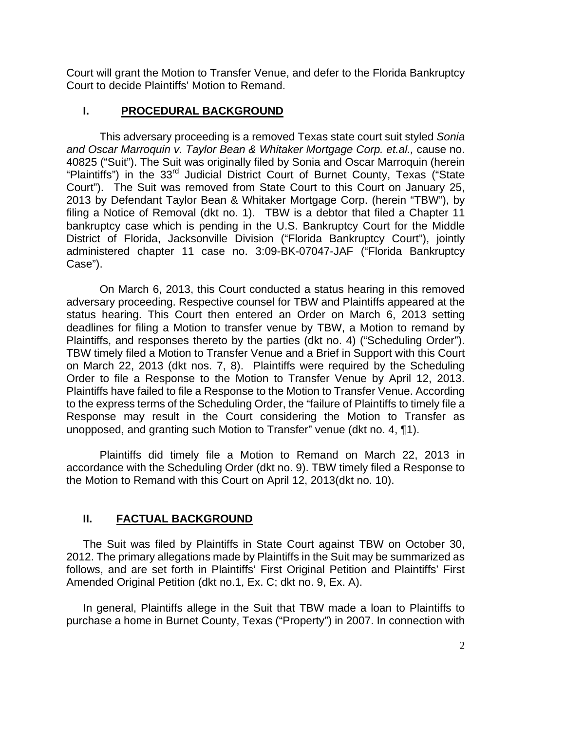Court will grant the Motion to Transfer Venue, and defer to the Florida Bankruptcy Court to decide Plaintiffs' Motion to Remand.

### **I. PROCEDURAL BACKGROUND**

This adversary proceeding is a removed Texas state court suit styled *Sonia and Oscar Marroquin v. Taylor Bean & Whitaker Mortgage Corp. et.al.,* cause no. 40825 ("Suit"). The Suit was originally filed by Sonia and Oscar Marroquin (herein "Plaintiffs") in the 33<sup>rd</sup> Judicial District Court of Burnet County, Texas ("State Court"). The Suit was removed from State Court to this Court on January 25, 2013 by Defendant Taylor Bean & Whitaker Mortgage Corp. (herein "TBW"), by filing a Notice of Removal (dkt no. 1). TBW is a debtor that filed a Chapter 11 bankruptcy case which is pending in the U.S. Bankruptcy Court for the Middle District of Florida, Jacksonville Division ("Florida Bankruptcy Court"), jointly administered chapter 11 case no. 3:09-BK-07047-JAF ("Florida Bankruptcy Case").

On March 6, 2013, this Court conducted a status hearing in this removed adversary proceeding. Respective counsel for TBW and Plaintiffs appeared at the status hearing. This Court then entered an Order on March 6, 2013 setting deadlines for filing a Motion to transfer venue by TBW, a Motion to remand by Plaintiffs, and responses thereto by the parties (dkt no. 4) ("Scheduling Order"). TBW timely filed a Motion to Transfer Venue and a Brief in Support with this Court on March 22, 2013 (dkt nos. 7, 8). Plaintiffs were required by the Scheduling Order to file a Response to the Motion to Transfer Venue by April 12, 2013. Plaintiffs have failed to file a Response to the Motion to Transfer Venue. According to the express terms of the Scheduling Order, the "failure of Plaintiffs to timely file a Response may result in the Court considering the Motion to Transfer as unopposed, and granting such Motion to Transfer" venue (dkt no. 4, ¶1).

Plaintiffs did timely file a Motion to Remand on March 22, 2013 in accordance with the Scheduling Order (dkt no. 9). TBW timely filed a Response to the Motion to Remand with this Court on April 12, 2013(dkt no. 10).

### **II. FACTUAL BACKGROUND**

The Suit was filed by Plaintiffs in State Court against TBW on October 30, 2012. The primary allegations made by Plaintiffs in the Suit may be summarized as follows, and are set forth in Plaintiffs' First Original Petition and Plaintiffs' First Amended Original Petition (dkt no.1, Ex. C; dkt no. 9, Ex. A).

In general, Plaintiffs allege in the Suit that TBW made a loan to Plaintiffs to purchase a home in Burnet County, Texas ("Property") in 2007. In connection with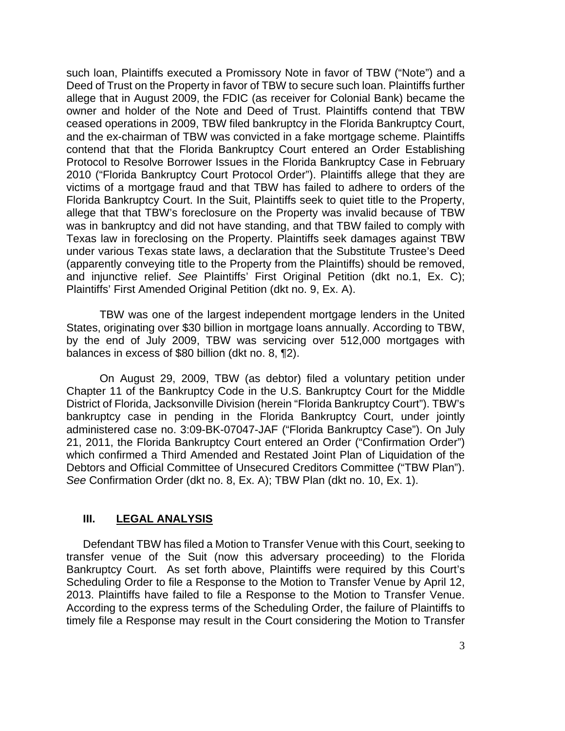such loan, Plaintiffs executed a Promissory Note in favor of TBW ("Note") and a Deed of Trust on the Property in favor of TBW to secure such loan. Plaintiffs further allege that in August 2009, the FDIC (as receiver for Colonial Bank) became the owner and holder of the Note and Deed of Trust. Plaintiffs contend that TBW ceased operations in 2009, TBW filed bankruptcy in the Florida Bankruptcy Court, and the ex-chairman of TBW was convicted in a fake mortgage scheme. Plaintiffs contend that that the Florida Bankruptcy Court entered an Order Establishing Protocol to Resolve Borrower Issues in the Florida Bankruptcy Case in February 2010 ("Florida Bankruptcy Court Protocol Order"). Plaintiffs allege that they are victims of a mortgage fraud and that TBW has failed to adhere to orders of the Florida Bankruptcy Court. In the Suit, Plaintiffs seek to quiet title to the Property, allege that that TBW's foreclosure on the Property was invalid because of TBW was in bankruptcy and did not have standing, and that TBW failed to comply with Texas law in foreclosing on the Property. Plaintiffs seek damages against TBW under various Texas state laws, a declaration that the Substitute Trustee's Deed (apparently conveying title to the Property from the Plaintiffs) should be removed, and injunctive relief. *See* Plaintiffs' First Original Petition (dkt no.1, Ex. C); Plaintiffs' First Amended Original Petition (dkt no. 9, Ex. A).

TBW was one of the largest independent mortgage lenders in the United States, originating over \$30 billion in mortgage loans annually. According to TBW, by the end of July 2009, TBW was servicing over 512,000 mortgages with balances in excess of \$80 billion (dkt no. 8, ¶2).

On August 29, 2009, TBW (as debtor) filed a voluntary petition under Chapter 11 of the Bankruptcy Code in the U.S. Bankruptcy Court for the Middle District of Florida, Jacksonville Division (herein "Florida Bankruptcy Court"). TBW's bankruptcy case in pending in the Florida Bankruptcy Court, under jointly administered case no. 3:09-BK-07047-JAF ("Florida Bankruptcy Case"). On July 21, 2011, the Florida Bankruptcy Court entered an Order ("Confirmation Order") which confirmed a Third Amended and Restated Joint Plan of Liquidation of the Debtors and Official Committee of Unsecured Creditors Committee ("TBW Plan"). *See* Confirmation Order (dkt no. 8, Ex. A); TBW Plan (dkt no. 10, Ex. 1).

#### **III. LEGAL ANALYSIS**

Defendant TBW has filed a Motion to Transfer Venue with this Court, seeking to transfer venue of the Suit (now this adversary proceeding) to the Florida Bankruptcy Court. As set forth above, Plaintiffs were required by this Court's Scheduling Order to file a Response to the Motion to Transfer Venue by April 12, 2013. Plaintiffs have failed to file a Response to the Motion to Transfer Venue. According to the express terms of the Scheduling Order, the failure of Plaintiffs to timely file a Response may result in the Court considering the Motion to Transfer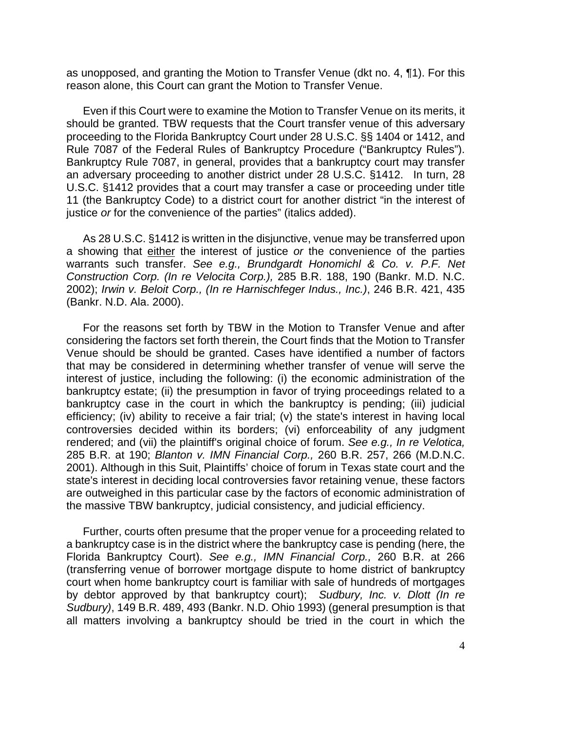as unopposed, and granting the Motion to Transfer Venue (dkt no. 4, ¶1). For this reason alone, this Court can grant the Motion to Transfer Venue.

Even if this Court were to examine the Motion to Transfer Venue on its merits, it should be granted. TBW requests that the Court transfer venue of this adversary proceeding to the Florida Bankruptcy Court under 28 U.S.C. §§ 1404 or 1412, and Rule 7087 of the Federal Rules of Bankruptcy Procedure ("Bankruptcy Rules"). Bankruptcy Rule 7087, in general, provides that a bankruptcy court may transfer an adversary proceeding to another district under 28 U.S.C. §1412. In turn, 28 U.S.C. §1412 provides that a court may transfer a case or proceeding under title 11 (the Bankruptcy Code) to a district court for another district "in the interest of justice *or* for the convenience of the parties" (italics added).

As 28 U.S.C. §1412 is written in the disjunctive, venue may be transferred upon a showing that either the interest of justice *or* the convenience of the parties warrants such transfer. *See e.g., Brundgardt Honomichl & Co. v. P.F. Net Construction Corp. (In re Velocita Corp.),* 285 B.R. 188, 190 (Bankr. M.D. N.C. 2002); *Irwin v. Beloit Corp., (In re Harnischfeger Indus., Inc.)*, 246 B.R. 421, 435 (Bankr. N.D. Ala. 2000).

For the reasons set forth by TBW in the Motion to Transfer Venue and after considering the factors set forth therein, the Court finds that the Motion to Transfer Venue should be should be granted. Cases have identified a number of factors that may be considered in determining whether transfer of venue will serve the interest of justice, including the following: (i) the economic administration of the bankruptcy estate; (ii) the presumption in favor of trying proceedings related to a bankruptcy case in the court in which the bankruptcy is pending; (iii) judicial efficiency; (iv) ability to receive a fair trial; (v) the state's interest in having local controversies decided within its borders; (vi) enforceability of any judgment rendered; and (vii) the plaintiff's original choice of forum. *See e.g., In re Velotica,*  285 B.R. at 190; *Blanton v. IMN Financial Corp.,* 260 B.R. 257, 266 (M.D.N.C. 2001). Although in this Suit, Plaintiffs' choice of forum in Texas state court and the state's interest in deciding local controversies favor retaining venue, these factors are outweighed in this particular case by the factors of economic administration of the massive TBW bankruptcy, judicial consistency, and judicial efficiency.

Further, courts often presume that the proper venue for a proceeding related to a bankruptcy case is in the district where the bankruptcy case is pending (here, the Florida Bankruptcy Court). *See e.g., IMN Financial Corp.,* 260 B.R. at 266 (transferring venue of borrower mortgage dispute to home district of bankruptcy court when home bankruptcy court is familiar with sale of hundreds of mortgages by debtor approved by that bankruptcy court); *Sudbury, Inc. v. Dlott (In re Sudbury)*, 149 B.R. 489, 493 (Bankr. N.D. Ohio 1993) (general presumption is that all matters involving a bankruptcy should be tried in the court in which the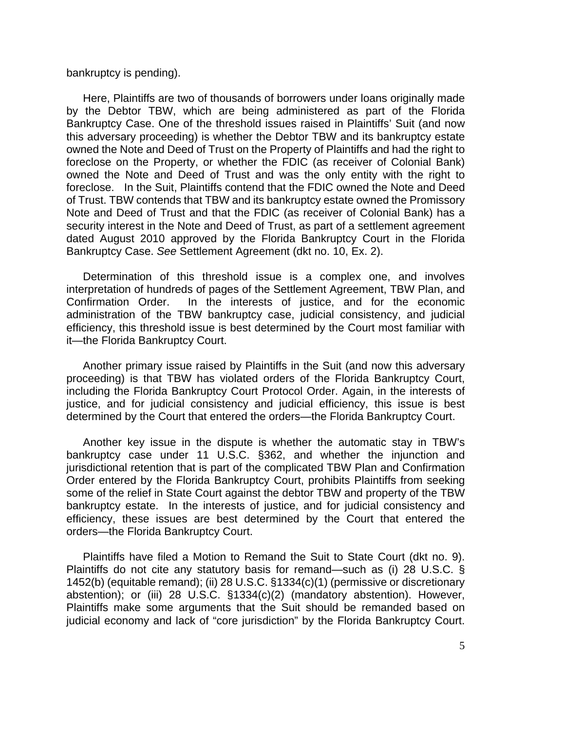#### bankruptcy is pending).

Here, Plaintiffs are two of thousands of borrowers under loans originally made by the Debtor TBW, which are being administered as part of the Florida Bankruptcy Case. One of the threshold issues raised in Plaintiffs' Suit (and now this adversary proceeding) is whether the Debtor TBW and its bankruptcy estate owned the Note and Deed of Trust on the Property of Plaintiffs and had the right to foreclose on the Property, or whether the FDIC (as receiver of Colonial Bank) owned the Note and Deed of Trust and was the only entity with the right to foreclose. In the Suit, Plaintiffs contend that the FDIC owned the Note and Deed of Trust. TBW contends that TBW and its bankruptcy estate owned the Promissory Note and Deed of Trust and that the FDIC (as receiver of Colonial Bank) has a security interest in the Note and Deed of Trust, as part of a settlement agreement dated August 2010 approved by the Florida Bankruptcy Court in the Florida Bankruptcy Case. *See* Settlement Agreement (dkt no. 10, Ex. 2).

Determination of this threshold issue is a complex one, and involves interpretation of hundreds of pages of the Settlement Agreement, TBW Plan, and Confirmation Order. In the interests of justice, and for the economic administration of the TBW bankruptcy case, judicial consistency, and judicial efficiency, this threshold issue is best determined by the Court most familiar with it—the Florida Bankruptcy Court.

Another primary issue raised by Plaintiffs in the Suit (and now this adversary proceeding) is that TBW has violated orders of the Florida Bankruptcy Court, including the Florida Bankruptcy Court Protocol Order. Again, in the interests of justice, and for judicial consistency and judicial efficiency, this issue is best determined by the Court that entered the orders—the Florida Bankruptcy Court.

Another key issue in the dispute is whether the automatic stay in TBW's bankruptcy case under 11 U.S.C. §362, and whether the injunction and jurisdictional retention that is part of the complicated TBW Plan and Confirmation Order entered by the Florida Bankruptcy Court, prohibits Plaintiffs from seeking some of the relief in State Court against the debtor TBW and property of the TBW bankruptcy estate. In the interests of justice, and for judicial consistency and efficiency, these issues are best determined by the Court that entered the orders—the Florida Bankruptcy Court.

Plaintiffs have filed a Motion to Remand the Suit to State Court (dkt no. 9). Plaintiffs do not cite any statutory basis for remand—such as (i) 28 U.S.C. § 1452(b) (equitable remand); (ii) 28 U.S.C. §1334(c)(1) (permissive or discretionary abstention); or (iii) 28 U.S.C. §1334(c)(2) (mandatory abstention). However, Plaintiffs make some arguments that the Suit should be remanded based on judicial economy and lack of "core jurisdiction" by the Florida Bankruptcy Court.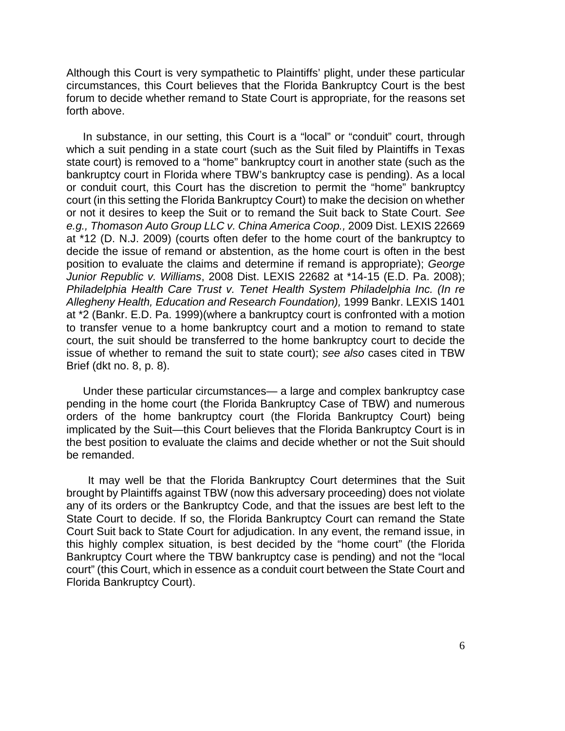Although this Court is very sympathetic to Plaintiffs' plight, under these particular circumstances, this Court believes that the Florida Bankruptcy Court is the best forum to decide whether remand to State Court is appropriate, for the reasons set forth above.

In substance, in our setting, this Court is a "local" or "conduit" court, through which a suit pending in a state court (such as the Suit filed by Plaintiffs in Texas state court) is removed to a "home" bankruptcy court in another state (such as the bankruptcy court in Florida where TBW's bankruptcy case is pending). As a local or conduit court, this Court has the discretion to permit the "home" bankruptcy court (in this setting the Florida Bankruptcy Court) to make the decision on whether or not it desires to keep the Suit or to remand the Suit back to State Court. *See e.g., Thomason Auto Group LLC v. China America Coop.,* 2009 Dist. LEXIS 22669 at \*12 (D. N.J. 2009) (courts often defer to the home court of the bankruptcy to decide the issue of remand or abstention, as the home court is often in the best position to evaluate the claims and determine if remand is appropriate); *George Junior Republic v. Williams*, 2008 Dist. LEXIS 22682 at \*14-15 (E.D. Pa. 2008); *Philadelphia Health Care Trust v. Tenet Health System Philadelphia Inc. (In re Allegheny Health, Education and Research Foundation),* 1999 Bankr. LEXIS 1401 at \*2 (Bankr. E.D. Pa. 1999)(where a bankruptcy court is confronted with a motion to transfer venue to a home bankruptcy court and a motion to remand to state court, the suit should be transferred to the home bankruptcy court to decide the issue of whether to remand the suit to state court); *see also* cases cited in TBW Brief (dkt no. 8, p. 8).

Under these particular circumstances— a large and complex bankruptcy case pending in the home court (the Florida Bankruptcy Case of TBW) and numerous orders of the home bankruptcy court (the Florida Bankruptcy Court) being implicated by the Suit—this Court believes that the Florida Bankruptcy Court is in the best position to evaluate the claims and decide whether or not the Suit should be remanded.

 It may well be that the Florida Bankruptcy Court determines that the Suit brought by Plaintiffs against TBW (now this adversary proceeding) does not violate any of its orders or the Bankruptcy Code, and that the issues are best left to the State Court to decide. If so, the Florida Bankruptcy Court can remand the State Court Suit back to State Court for adjudication. In any event, the remand issue, in this highly complex situation, is best decided by the "home court" (the Florida Bankruptcy Court where the TBW bankruptcy case is pending) and not the "local court" (this Court, which in essence as a conduit court between the State Court and Florida Bankruptcy Court).